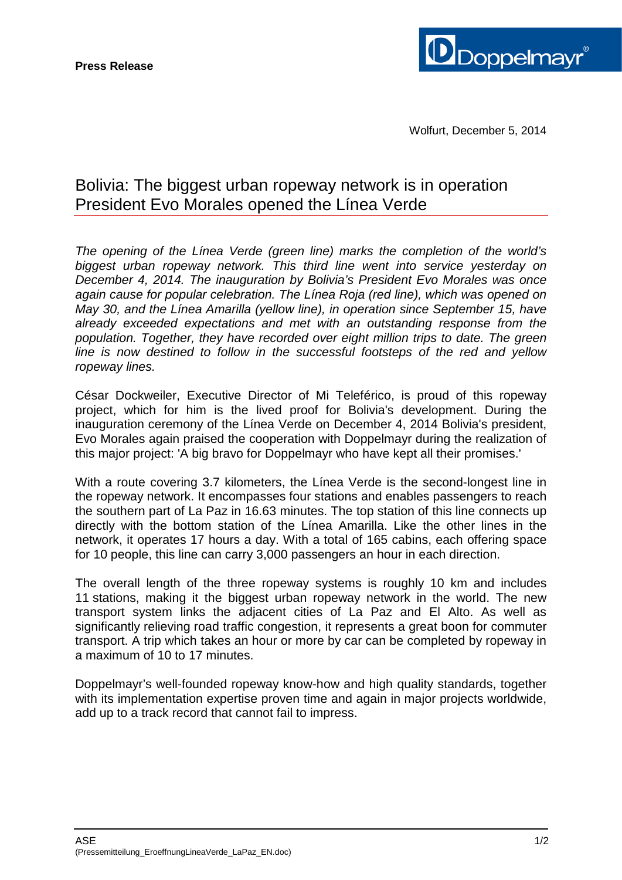

## Bolivia: The biggest urban ropeway network is in operation President Evo Morales opened the Línea Verde

*The opening of the Línea Verde (green line) marks the completion of the world's biggest urban ropeway network. This third line went into service yesterday on December 4, 2014. The inauguration by Bolivia's President Evo Morales was once again cause for popular celebration. The Línea Roja (red line), which was opened on May 30, and the Línea Amarilla (yellow line), in operation since September 15, have already exceeded expectations and met with an outstanding response from the population. Together, they have recorded over eight million trips to date. The green line is now destined to follow in the successful footsteps of the red and yellow ropeway lines.*

César Dockweiler, Executive Director of Mi Teleférico, is proud of this ropeway project, which for him is the lived proof for Bolivia's development. During the inauguration ceremony of the Línea Verde on December 4, 2014 Bolivia's president, Evo Morales again praised the cooperation with Doppelmayr during the realization of this major project: 'A big bravo for Doppelmayr who have kept all their promises.'

With a route covering 3.7 kilometers, the Línea Verde is the second-longest line in the ropeway network. It encompasses four stations and enables passengers to reach the southern part of La Paz in 16.63 minutes. The top station of this line connects up directly with the bottom station of the Línea Amarilla. Like the other lines in the network, it operates 17 hours a day. With a total of 165 cabins, each offering space for 10 people, this line can carry 3,000 passengers an hour in each direction.

The overall length of the three ropeway systems is roughly 10 km and includes 11 stations, making it the biggest urban ropeway network in the world. The new transport system links the adjacent cities of La Paz and El Alto. As well as significantly relieving road traffic congestion, it represents a great boon for commuter transport. A trip which takes an hour or more by car can be completed by ropeway in a maximum of 10 to 17 minutes.

Doppelmayr's well-founded ropeway know-how and high quality standards, together with its implementation expertise proven time and again in major projects worldwide, add up to a track record that cannot fail to impress.